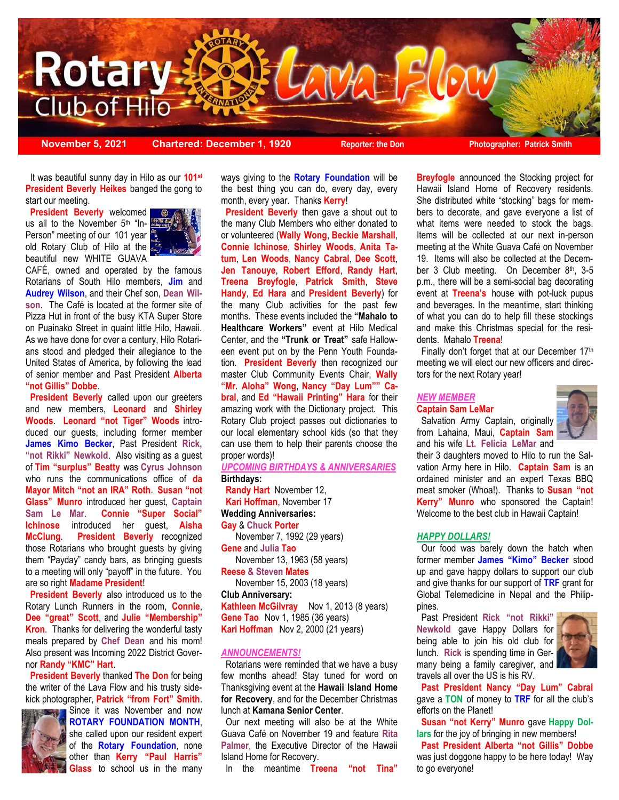

 **President Beverly Heikes** banged the gong to It was beautiful sunny day in Hilo as our **101st** start our meeting.

 **President Beverly** welcomed us all to the November 5<sup>th</sup> "In-Person" meeting of our 101 year old Rotary Club of Hilo at the beautiful new WHITE GUAVA



CAFÉ, owned and operated by the famous Rotarians of South Hilo members, **Jim** and **Audrey Wilson**, and their Chef son, **Dean Wilson**. The Café is located at the former site of Pizza Hut in front of the busy KTA Super Store on Puainako Street in quaint little Hilo, Hawaii. As we have done for over a century, Hilo Rotarians stood and pledged their allegiance to the United States of America, by following the lead of senior member and Past President **Alberta "not Gillis" Dobbe**.

**President Beverly** called upon our greeters and new members, **Leonard** and **Shirley Woods**. **Leonard "not Tiger" Woods** introduced our guests, including former member **James Kimo Becker**, Past President **Rick, "not Rikki" Newkold**. Also visiting as a guest of **Tim "surplus" Beatty** was **Cyrus Johnson**  who runs the communications office of **da Mayor Mitch "not an IRA" Roth**. **Susan "not Glass" Munro** introduced her guest, **Captain Sam Le Mar**. **Connie "Super Social" Ichinose** introduced her guest, **Aisha McClung**. **President Beverly** recognized those Rotarians who brought guests by giving them "Payday" candy bars, as bringing guests to a meeting will only "payoff" in the future. You are so right **Madame President**!

 **President Beverly** also introduced us to the Rotary Lunch Runners in the room, **Connie**, **Dee "great" Scott**, and **Julie "Membership" Kron**. Thanks for delivering the wonderful tasty meals prepared by **Chef Dean** and his mom! Also present was Incoming 2022 District Governor **Randy "KMC" Hart**.

 **President Beverly** thanked **The Don** for being the writer of the Lava Flow and his trusty sidekick photographer, **Patrick "from Fort" Smith**.



Since it was November and now **ROTARY FOUNDATION MONTH**, she called upon our resident expert of the **Rotary Foundation**, none other than **Kerry "Paul Harris" Glass** to school us in the many

ways giving to the **Rotary Foundation** will be the best thing you can do, every day, every month, every year. Thanks **Kerry**!

 **President Beverly** then gave a shout out to the many Club Members who either donated to or volunteered (**Wally Wong**, **Beckie Marshall**, **Connie Ichinose**, **Shirley Woods**, **Anita Tatum**, **Len Woods**, **Nancy Cabral**, **Dee Scott**, **Jen Tanouye**, **Robert Efford**, **Randy Hart**, **Treena Breyfogle**, **Patrick Smith**, **Steve Handy**, **Ed Hara** and **President Beverly**) for the many Club activities for the past few months. These events included the **"Mahalo to Healthcare Workers"** event at Hilo Medical Center, and the **"Trunk or Treat"** safe Halloween event put on by the Penn Youth Foundation. **President Beverly** then recognized our master Club Community Events Chair, **Wally "Mr. Aloha" Wong**, **Nancy "Day Lum"" Cabral**, and **Ed "Hawaii Printing" Hara** for their amazing work with the Dictionary project. This Rotary Club project passes out dictionaries to our local elementary school kids (so that they can use them to help their parents choose the proper words)!

### *UPCOMING BIRTHDAYS & ANNIVERSARIES* **Birthdays:**

 **Randy Hart** November 12, **Kari Hoffman**, November 17 **Wedding Anniversaries: Gay** & **Chuck Porter** 

November 7, 1992 (29 years)

**Gene** and **Julia Tao**

November 13, 1963 (58 years) **Reese & Steven Mates**

November 15, 2003 (18 years)

**Club Anniversary: Kathleen McGilvray** Nov 1, 2013 (8 years) **Gene Tao** Nov 1, 1985 (36 years)

**Kari Hoffman** Nov 2, 2000 (21 years)

### *ANNOUNCEMENTS!*

 Rotarians were reminded that we have a busy few months ahead! Stay tuned for word on Thanksgiving event at the **Hawaii Island Home for Recovery**, and for the December Christmas lunch at **Kamana Senior Center**.

 Our next meeting will also be at the White Guava Café on November 19 and feature **Rita Palmer**, the Executive Director of the Hawaii Island Home for Recovery.

In the meantime **Treena "not Tina"** 

**Breyfogle** announced the Stocking project for Hawaii Island Home of Recovery residents. She distributed white "stocking" bags for members to decorate, and gave everyone a list of what items were needed to stock the bags. Items will be collected at our next in-person meeting at the White Guava Café on November 19. Items will also be collected at the December 3 Club meeting. On December 8th, 3-5 p.m., there will be a semi-social bag decorating event at **Treena's** house with pot-luck pupus and beverages. In the meantime, start thinking of what you can do to help fill these stockings and make this Christmas special for the residents. Mahalo **Treena**!

Finally don't forget that at our December 17th meeting we will elect our new officers and directors for the next Rotary year!

# *NEW MEMBER*

**Captain Sam LeMar** Salvation Army Captain, originally from Lahaina, Maui, **Captain Sam** 



and his wife **Lt. Felicia LeMar** and their 3 daughters moved to Hilo to run the Salvation Army here in Hilo. **Captain Sam** is an ordained minister and an expert Texas BBQ meat smoker (Whoa!). Thanks to **Susan "not Kerry" Munro** who sponsored the Captain!

Welcome to the best club in Hawaii Captain!

#### *HAPPY DOLLARS!*

 Our food was barely down the hatch when former member **James "Kimo" Becker** stood up and gave happy dollars to support our club and give thanks for our support of **TRF** grant for Global Telemedicine in Nepal and the Philippines.

 Past President **Rick "not Rikki" Newkold** gave Happy Dollars for being able to join his old club for lunch. **Rick** is spending time in Germany being a family caregiver, and travels all over the US is his RV.



 **Past President Nancy "Day Lum" Cabral**  gave a **TON** of money to **TRF** for all the club's efforts on the Planet!

 **Susan "not Kerry" Munro** gave **Happy Dollars** for the joy of bringing in new members!

 **Past President Alberta "not Gillis" Dobbe**  was just doggone happy to be here today! Way to go everyone!